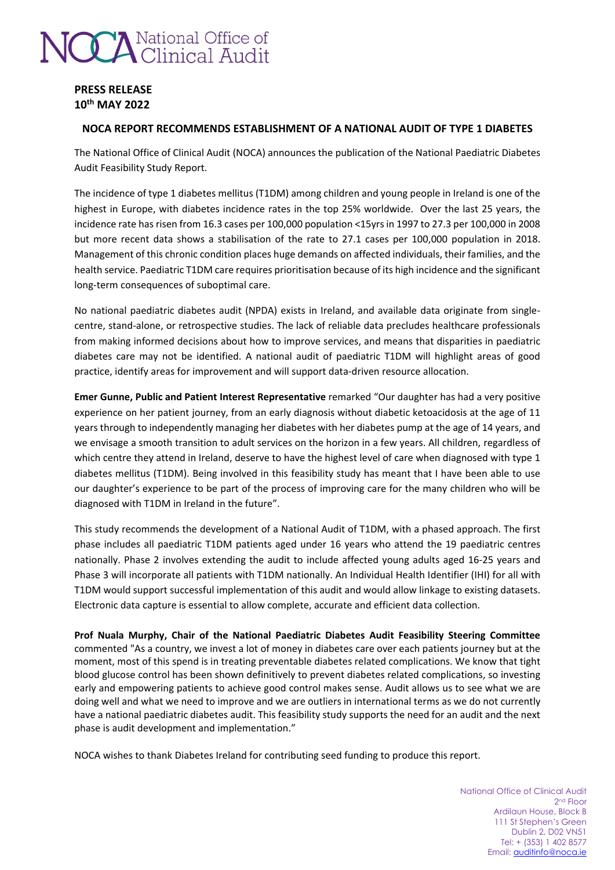# **CCA** National Office of

# **PRESS RELEASE 10th MAY 2022**

# **NOCA REPORT RECOMMENDS ESTABLISHMENT OF A NATIONAL AUDIT OF TYPE 1 DIABETES**

The National Office of Clinical Audit (NOCA) announces the publication of the National Paediatric Diabetes Audit Feasibility Study Report.

The incidence of type 1 diabetes mellitus (T1DM) among children and young people in Ireland is one of the highest in Europe, with diabetes incidence rates in the top 25% worldwide. Over the last 25 years, the incidence rate has risen from 16.3 cases per 100,000 population <15yrs in 1997 to 27.3 per 100,000 in 2008 but more recent data shows a stabilisation of the rate to 27.1 cases per 100,000 population in 2018. Management of this chronic condition places huge demands on affected individuals, their families, and the health service. Paediatric T1DM care requires prioritisation because of its high incidence and the significant long-term consequences of suboptimal care.

No national paediatric diabetes audit (NPDA) exists in Ireland, and available data originate from singlecentre, stand-alone, or retrospective studies. The lack of reliable data precludes healthcare professionals from making informed decisions about how to improve services, and means that disparities in paediatric diabetes care may not be identified. A national audit of paediatric T1DM will highlight areas of good practice, identify areas for improvement and will support data-driven resource allocation.

**Emer Gunne, Public and Patient Interest Representative** remarked "Our daughter has had a very positive experience on her patient journey, from an early diagnosis without diabetic ketoacidosis at the age of 11 years through to independently managing her diabetes with her diabetes pump at the age of 14 years, and we envisage a smooth transition to adult services on the horizon in a few years. All children, regardless of which centre they attend in Ireland, deserve to have the highest level of care when diagnosed with type 1 diabetes mellitus (T1DM). Being involved in this feasibility study has meant that I have been able to use our daughter's experience to be part of the process of improving care for the many children who will be diagnosed with T1DM in Ireland in the future".

This study recommends the development of a National Audit of T1DM, with a phased approach. The first phase includes all paediatric T1DM patients aged under 16 years who attend the 19 paediatric centres nationally. Phase 2 involves extending the audit to include affected young adults aged 16-25 years and Phase 3 will incorporate all patients with T1DM nationally. An Individual Health Identifier (IHI) for all with T1DM would support successful implementation of this audit and would allow linkage to existing datasets. Electronic data capture is essential to allow complete, accurate and efficient data collection.

**Prof Nuala Murphy, Chair of the National Paediatric Diabetes Audit Feasibility Steering Committee** commented "As a country, we invest a lot of money in diabetes care over each patients journey but at the moment, most of this spend is in treating preventable diabetes related complications. We know that tight blood glucose control has been shown definitively to prevent diabetes related complications, so investing early and empowering patients to achieve good control makes sense. Audit allows us to see what we are doing well and what we need to improve and we are outliers in international terms as we do not currently have a national paediatric diabetes audit. This feasibility study supports the need for an audit and the next phase is audit development and implementation."

NOCA wishes to thank Diabetes Ireland for contributing seed funding to produce this report.